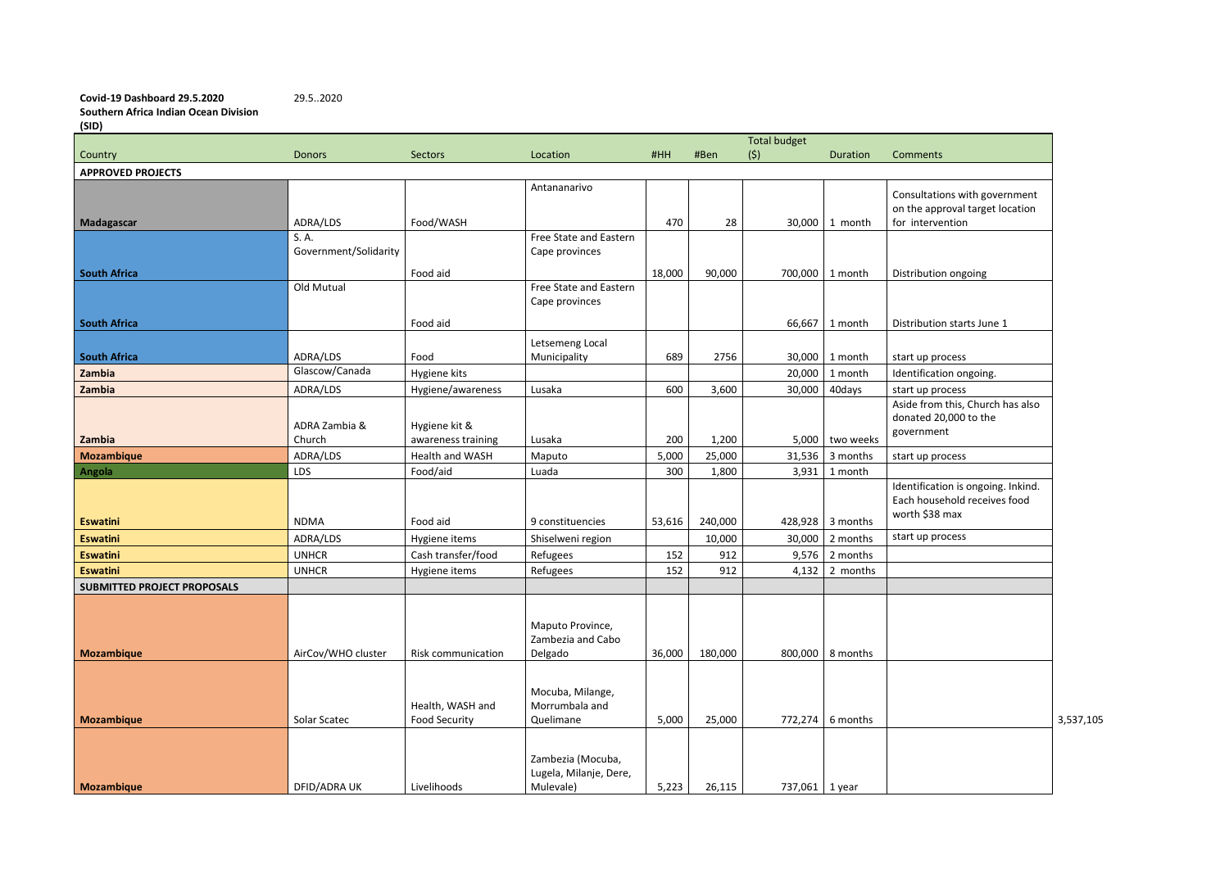**Covid-19 Dashboard 29.5.2020** 29.5..2020 **Southern Africa Indian Ocean Division (SID)**

| Comments                                                                             |      |
|--------------------------------------------------------------------------------------|------|
|                                                                                      |      |
| Consultations with government<br>on the approval target location<br>for intervention |      |
| Distribution ongoing                                                                 |      |
| Distribution starts June 1                                                           |      |
| start up process                                                                     |      |
| Identification ongoing.                                                              |      |
| start up process                                                                     |      |
| Aside from this, Church has also                                                     |      |
| donated 20,000 to the                                                                |      |
| government                                                                           |      |
| start up process                                                                     |      |
| Identification is ongoing. Inkind.<br>Each household receives food<br>worth \$38 max |      |
| start up process                                                                     |      |
|                                                                                      |      |
|                                                                                      |      |
|                                                                                      |      |
|                                                                                      |      |
|                                                                                      |      |
|                                                                                      |      |
|                                                                                      |      |
|                                                                                      | 3.53 |
|                                                                                      |      |
|                                                                                      |      |
|                                                                                      |      |

|                                    |                       |                    |                                          |        |         | <b>Total budget</b> |                    |                                    |           |
|------------------------------------|-----------------------|--------------------|------------------------------------------|--------|---------|---------------------|--------------------|------------------------------------|-----------|
| Country                            | <b>Donors</b>         | <b>Sectors</b>     | Location                                 | #HH    | #Ben    | (5)                 | Duration           | Comments                           |           |
| <b>APPROVED PROJECTS</b>           |                       |                    |                                          |        |         |                     |                    |                                    |           |
|                                    |                       |                    | Antananarivo                             |        |         |                     |                    | Consultations with government      |           |
|                                    |                       |                    |                                          |        |         |                     |                    | on the approval target location    |           |
| <b>Madagascar</b>                  | ADRA/LDS              | Food/WASH          |                                          | 470    | 28      | 30,000              | 1 month            | for intervention                   |           |
|                                    | S. A.                 |                    | Free State and Eastern                   |        |         |                     |                    |                                    |           |
|                                    | Government/Solidarity |                    | Cape provinces                           |        |         |                     |                    |                                    |           |
|                                    |                       |                    |                                          |        |         |                     |                    |                                    |           |
| <b>South Africa</b>                | Old Mutual            | Food aid           |                                          | 18,000 | 90,000  | 700,000             | 1 month            | Distribution ongoing               |           |
|                                    |                       |                    | Free State and Eastern<br>Cape provinces |        |         |                     |                    |                                    |           |
|                                    |                       |                    |                                          |        |         |                     |                    |                                    |           |
| <b>South Africa</b>                |                       | Food aid           |                                          |        |         | 66,667              | 1 month            | Distribution starts June 1         |           |
|                                    |                       |                    | Letsemeng Local                          |        |         |                     |                    |                                    |           |
| <b>South Africa</b>                | ADRA/LDS              | Food               | Municipality                             | 689    | 2756    | 30,000              | 1 month            | start up process                   |           |
| Zambia                             | Glascow/Canada        | Hygiene kits       |                                          |        |         | 20,000              | 1 month            | Identification ongoing.            |           |
| Zambia                             | ADRA/LDS              | Hygiene/awareness  | Lusaka                                   | 600    | 3,600   | 30,000              | 40days             | start up process                   |           |
|                                    |                       |                    |                                          |        |         |                     |                    | Aside from this, Church has also   |           |
|                                    |                       |                    |                                          |        |         |                     |                    | donated 20,000 to the              |           |
|                                    | ADRA Zambia &         | Hygiene kit &      |                                          |        |         |                     |                    | government                         |           |
| Zambia                             | Church                | awareness training | Lusaka                                   | 200    | 1,200   | 5,000               | two weeks          |                                    |           |
| <b>Mozambique</b>                  | ADRA/LDS              | Health and WASH    | Maputo                                   | 5,000  | 25,000  | 31,536              | 3 months           | start up process                   |           |
| Angola                             | LDS                   | Food/aid           | Luada                                    | 300    | 1,800   | 3,931               | 1 month            |                                    |           |
|                                    |                       |                    |                                          |        |         |                     |                    | Identification is ongoing. Inkind. |           |
|                                    |                       |                    |                                          |        |         |                     |                    | Each household receives food       |           |
| <b>Eswatini</b>                    | <b>NDMA</b>           | Food aid           | 9 constituencies                         | 53,616 | 240,000 | 428,928             | 3 months           | worth \$38 max                     |           |
| <b>Eswatini</b>                    | ADRA/LDS              | Hygiene items      | Shiselweni region                        |        | 10,000  | 30,000              | 2 months           | start up process                   |           |
| <b>Eswatini</b>                    | <b>UNHCR</b>          | Cash transfer/food | Refugees                                 | 152    | 912     | 9,576               | 2 months           |                                    |           |
| <b>Eswatini</b>                    | <b>UNHCR</b>          | Hygiene items      | Refugees                                 | 152    | 912     | 4,132               | 2 months           |                                    |           |
| <b>SUBMITTED PROJECT PROPOSALS</b> |                       |                    |                                          |        |         |                     |                    |                                    |           |
|                                    |                       |                    |                                          |        |         |                     |                    |                                    |           |
|                                    |                       |                    |                                          |        |         |                     |                    |                                    |           |
|                                    |                       |                    | Maputo Province,                         |        |         |                     |                    |                                    |           |
|                                    |                       |                    | Zambezia and Cabo                        |        |         |                     |                    |                                    |           |
| <b>Mozambique</b>                  | AirCov/WHO cluster    | Risk communication | Delgado                                  | 36,000 | 180,000 |                     | 800,000   8 months |                                    |           |
|                                    |                       |                    |                                          |        |         |                     |                    |                                    |           |
|                                    |                       |                    | Mocuba, Milange,                         |        |         |                     |                    |                                    |           |
|                                    |                       | Health, WASH and   | Morrumbala and                           |        |         |                     |                    |                                    |           |
| <b>Mozambique</b>                  | Solar Scatec          | Food Security      | Quelimane                                | 5,000  | 25,000  | 772,274             | 6 months           |                                    | 3,537,105 |
|                                    |                       |                    |                                          |        |         |                     |                    |                                    |           |
|                                    |                       |                    |                                          |        |         |                     |                    |                                    |           |
|                                    |                       |                    | Zambezia (Mocuba,                        |        |         |                     |                    |                                    |           |
|                                    |                       |                    | Lugela, Milanje, Dere,                   |        |         |                     |                    |                                    |           |
| <b>Mozambique</b>                  | DFID/ADRA UK          | Livelihoods        | Mulevale)                                | 5,223  | 26,115  | 737,061             | 1 year             |                                    |           |